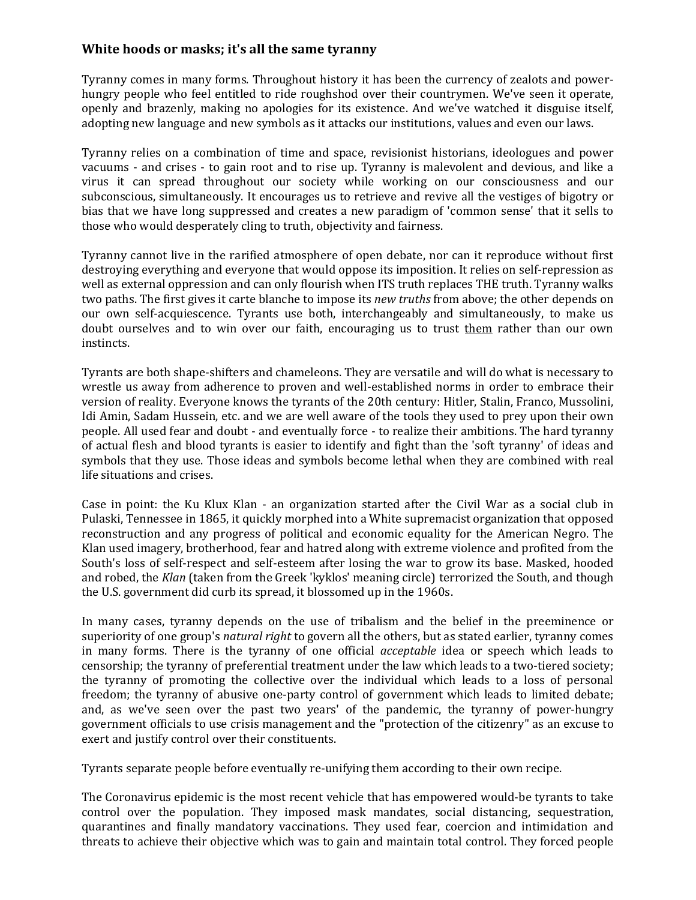## **White hoods or masks; it's all the same tyranny**

Tyranny comes in many forms. Throughout history it has been the currency of zealots and powerhungry people who feel entitled to ride roughshod over their countrymen. We've seen it operate, openly and brazenly, making no apologies for its existence. And we've watched it disguise itself, adopting new language and new symbols as it attacks our institutions, values and even our laws.

Tyranny relies on a combination of time and space, revisionist historians, ideologues and power vacuums - and crises - to gain root and to rise up. Tyranny is malevolent and devious, and like a virus it can spread throughout our society while working on our consciousness and our subconscious, simultaneously. It encourages us to retrieve and revive all the vestiges of bigotry or bias that we have long suppressed and creates a new paradigm of 'common sense' that it sells to those who would desperately cling to truth, objectivity and fairness.

Tyranny cannot live in the rarified atmosphere of open debate, nor can it reproduce without first destroying everything and everyone that would oppose its imposition. It relies on self-repression as well as external oppression and can only flourish when ITS truth replaces THE truth. Tyranny walks two paths. The first gives it carte blanche to impose its *new truths* from above; the other depends on our own self-acquiescence. Tyrants use both, interchangeably and simultaneously, to make us doubt ourselves and to win over our faith, encouraging us to trust them rather than our own instincts.

Tyrants are both shape-shifters and chameleons. They are versatile and will do what is necessary to wrestle us away from adherence to proven and well-established norms in order to embrace their version of reality. Everyone knows the tyrants of the 20th century: Hitler, Stalin, Franco, Mussolini, Idi Amin, Sadam Hussein, etc. and we are well aware of the tools they used to prey upon their own people. All used fear and doubt - and eventually force - to realize their ambitions. The hard tyranny of actual flesh and blood tyrants is easier to identify and fight than the 'soft tyranny' of ideas and symbols that they use. Those ideas and symbols become lethal when they are combined with real life situations and crises.

Case in point: the Ku Klux Klan - an organization started after the Civil War as a social club in Pulaski, Tennessee in 1865, it quickly morphed into a White supremacist organization that opposed reconstruction and any progress of political and economic equality for the American Negro. The Klan used imagery, brotherhood, fear and hatred along with extreme violence and profited from the South's loss of self-respect and self-esteem after losing the war to grow its base. Masked, hooded and robed, the *Klan* (taken from the Greek 'kyklos' meaning circle) terrorized the South, and though the U.S. government did curb its spread, it blossomed up in the 1960s.

In many cases, tyranny depends on the use of tribalism and the belief in the preeminence or superiority of one group's *natural right* to govern all the others, but as stated earlier, tyranny comes in many forms. There is the tyranny of one official *acceptable* idea or speech which leads to censorship; the tyranny of preferential treatment under the law which leads to a two-tiered society; the tyranny of promoting the collective over the individual which leads to a loss of personal freedom; the tyranny of abusive one-party control of government which leads to limited debate; and, as we've seen over the past two years' of the pandemic, the tyranny of power-hungry government officials to use crisis management and the "protection of the citizenry" as an excuse to exert and justify control over their constituents.

Tyrants separate people before eventually re-unifying them according to their own recipe.

The Coronavirus epidemic is the most recent vehicle that has empowered would-be tyrants to take control over the population. They imposed mask mandates, social distancing, sequestration, quarantines and finally mandatory vaccinations. They used fear, coercion and intimidation and threats to achieve their objective which was to gain and maintain total control. They forced people